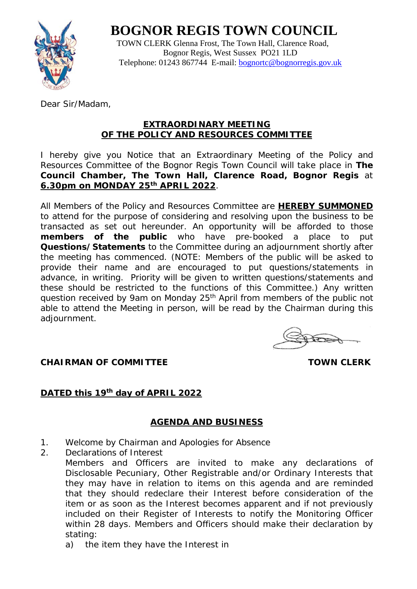# **BOGNOR REGIS TOWN COUNCIL**



 TOWN CLERK Glenna Frost, The Town Hall, Clarence Road, Bognor Regis, West Sussex PO21 1LD Telephone: 01243 867744 E-mail: [bognortc@bognorregis.gov.uk](mailto:bognortc@bognorregis.gov.uk)

Dear Sir/Madam,

### **EXTRAORDINARY MEETING OF THE POLICY AND RESOURCES COMMITTEE**

I hereby give you Notice that an Extraordinary Meeting of the Policy and Resources Committee of the Bognor Regis Town Council will take place in **The Council Chamber, The Town Hall, Clarence Road, Bognor Regis** at **6.30pm on MONDAY 25th APRIL 2022**.

All Members of the Policy and Resources Committee are **HEREBY SUMMONED** to attend for the purpose of considering and resolving upon the business to be transacted as set out hereunder. An opportunity will be afforded to those **members of the public** who have pre-booked a place to put **Questions/Statements** to the Committee during an adjournment shortly after the meeting has commenced. (NOTE: Members of the public will be asked to provide their name and are encouraged to put questions/statements in advance, in writing. Priority will be given to written questions/statements and these should be restricted to the functions of this Committee.) Any written question received by 9am on Monday 25<sup>th</sup> April from members of the public not able to attend the Meeting in person, will be read by the Chairman during this adjournment.

**CHAIRMAN OF COMMITTEE TOWN CLERK** 

# **DATED this 19th day of APRIL 2022**

# **AGENDA AND BUSINESS**

- 1. Welcome by Chairman and Apologies for Absence
- 2. Declarations of Interest Members and Officers are invited to make any declarations of Disclosable Pecuniary, Other Registrable and/or Ordinary Interests that they may have in relation to items on this agenda and are reminded that they should redeclare their Interest before consideration of the item or as soon as the Interest becomes apparent and if not previously included on their Register of Interests to notify the Monitoring Officer within 28 days. Members and Officers should make their declaration by stating:
	- a) the item they have the Interest in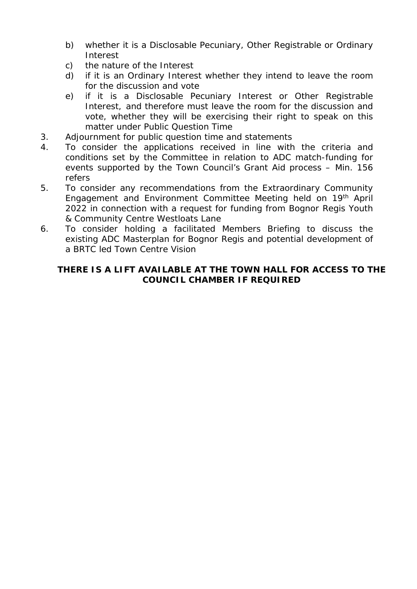- b) whether it is a Disclosable Pecuniary, Other Registrable or Ordinary Interest
- c) the nature of the Interest
- d) if it is an Ordinary Interest whether they intend to leave the room for the discussion and vote
- e) if it is a Disclosable Pecuniary Interest or Other Registrable Interest, and therefore must leave the room for the discussion and vote, whether they will be exercising their right to speak on this matter under Public Question Time
- 3. Adjournment for public question time and statements
- 4. To consider the applications received in line with the criteria and conditions set by the Committee in relation to ADC match-funding for events supported by the Town Council's Grant Aid process – Min. 156 refers
- 5. To consider any recommendations from the Extraordinary Community Engagement and Environment Committee Meeting held on 19th April 2022 in connection with a request for funding from Bognor Regis Youth & Community Centre Westloats Lane
- 6. To consider holding a facilitated Members Briefing to discuss the existing ADC Masterplan for Bognor Regis and potential development of a BRTC led Town Centre Vision

## **THERE IS A LIFT AVAILABLE AT THE TOWN HALL FOR ACCESS TO THE COUNCIL CHAMBER IF REQUIRED**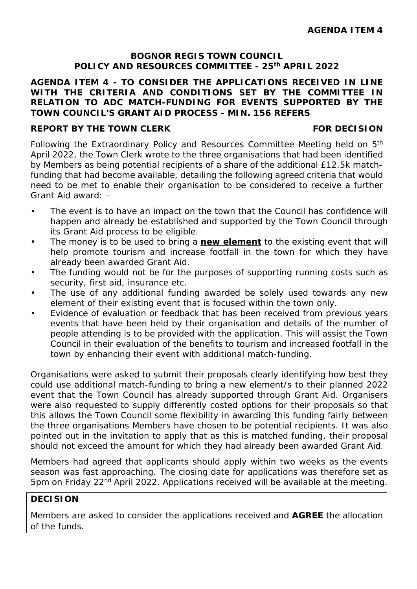#### **BOGNOR REGIS TOWN COUNCIL POLICY AND RESOURCES COMMITTEE - 25th APRIL 2022**

#### **AGENDA ITEM 4 - TO CONSIDER THE APPLICATIONS RECEIVED IN LINE WITH THE CRITERIA AND CONDITIONS SET BY THE COMMITTEE IN RELATION TO ADC MATCH-FUNDING FOR EVENTS SUPPORTED BY THE TOWN COUNCIL'S GRANT AID PROCESS - MIN. 156 REFERS**

#### **REPORT BY THE TOWN CLERK FOR DECISION**

Following the Extraordinary Policy and Resources Committee Meeting held on 5th April 2022, the Town Clerk wrote to the three organisations that had been identified by Members as being potential recipients of a share of the additional £12.5k matchfunding that had become available, detailing the following agreed criteria that would need to be met to enable their organisation to be considered to receive a further Grant Aid award: -

- The event is to have an impact on the town that the Council has confidence will happen and already be established and supported by the Town Council through its Grant Aid process to be eligible.
- The money is to be used to bring a **new element** to the existing event that will help promote tourism and increase footfall in the town for which they have already been awarded Grant Aid.
- The funding would not be for the purposes of supporting running costs such as security, first aid, insurance etc.
- The use of any additional funding awarded be solely used towards any new element of their existing event that is focused within the town only.
- Evidence of evaluation or feedback that has been received from previous years events that have been held by their organisation and details of the number of people attending is to be provided with the application. This will assist the Town Council in their evaluation of the benefits to tourism and increased footfall in the town by enhancing their event with additional match-funding.

Organisations were asked to submit their proposals clearly identifying how best they could use additional match-funding to bring a new element/s to their planned 2022 event that the Town Council has already supported through Grant Aid. Organisers were also requested to supply differently costed options for their proposals so that this allows the Town Council some flexibility in awarding this funding fairly between the three organisations Members have chosen to be potential recipients. It was also pointed out in the invitation to apply that as this is matched funding, their proposal should not exceed the amount for which they had already been awarded Grant Aid.

Members had agreed that applicants should apply within two weeks as the events season was fast approaching. The closing date for applications was therefore set as 5pm on Friday 22nd April 2022. Applications received will be available at the meeting.

### **DECISION**

Members are asked to consider the applications received and **AGREE** the allocation of the funds.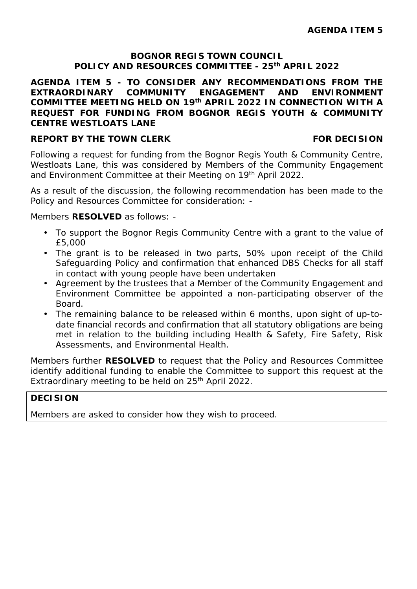#### **BOGNOR REGIS TOWN COUNCIL POLICY AND RESOURCES COMMITTEE - 25th APRIL 2022**

### **AGENDA ITEM 5 - TO CONSIDER ANY RECOMMENDATIONS FROM THE EXTRAORDINARY COMMUNITY ENGAGEMENT AND ENVIRONMENT COMMITTEE MEETING HELD ON 19th APRIL 2022 IN CONNECTION WITH A REQUEST FOR FUNDING FROM BOGNOR REGIS YOUTH & COMMUNITY CENTRE WESTLOATS LANE**

#### **REPORT BY THE TOWN CLERK FOR DECISION**

Following a request for funding from the Bognor Regis Youth & Community Centre, Westloats Lane, this was considered by Members of the Community Engagement and Environment Committee at their Meeting on 19<sup>th</sup> April 2022.

As a result of the discussion, the following recommendation has been made to the Policy and Resources Committee for consideration: -

Members **RESOLVED** as follows: -

- To support the Bognor Regis Community Centre with a grant to the value of £5,000
- The grant is to be released in two parts, 50% upon receipt of the Child Safeguarding Policy and confirmation that enhanced DBS Checks for all staff in contact with young people have been undertaken
- Agreement by the trustees that a Member of the Community Engagement and Environment Committee be appointed a non-participating observer of the Board.
- The remaining balance to be released within 6 months, upon sight of up-todate financial records and confirmation that all statutory obligations are being met in relation to the building including Health & Safety, Fire Safety, Risk Assessments, and Environmental Health.

Members further **RESOLVED** to request that the Policy and Resources Committee identify additional funding to enable the Committee to support this request at the Extraordinary meeting to be held on 25<sup>th</sup> April 2022.

# **DECISION**

Members are asked to consider how they wish to proceed.